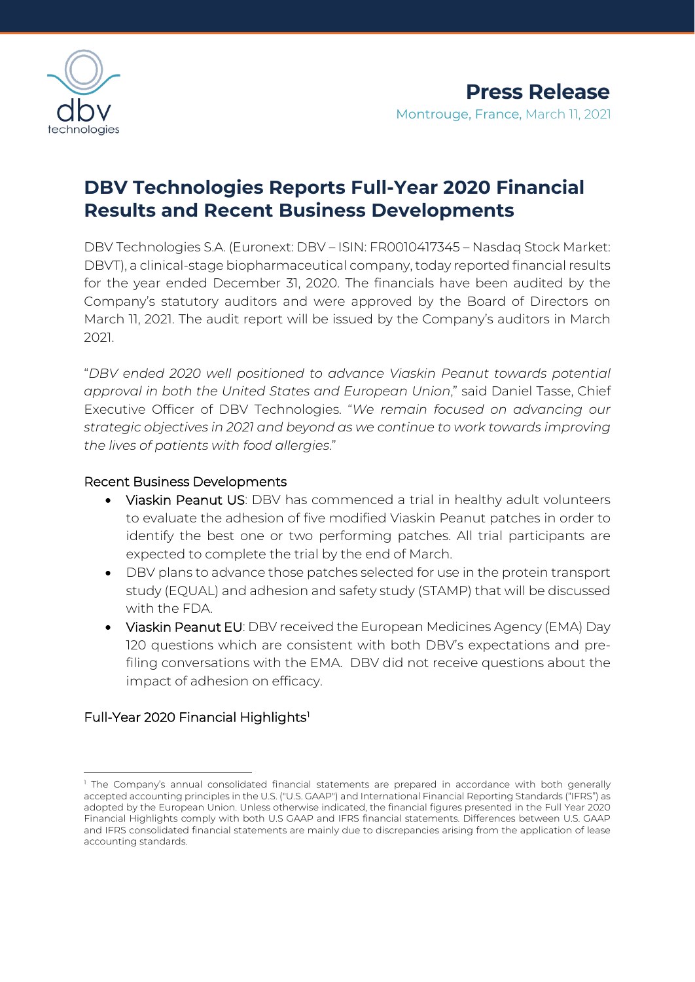

# **DBV Technologies Reports Full-Year 2020 Financial Results and Recent Business Developments**

DBV Technologies S.A. (Euronext: DBV – ISIN: FR0010417345 – Nasdaq Stock Market: DBVT), a clinical-stage biopharmaceutical company, today reported financial results for the year ended December 31, 2020. The financials have been audited by the Company's statutory auditors and were approved by the Board of Directors on March 11, 2021. The audit report will be issued by the Company's auditors in March 2021.

"*DBV ended 2020 well positioned to advance Viaskin Peanut towards potential approval in both the United States and European Union*," said Daniel Tasse, Chief Executive Officer of DBV Technologies. "*We remain focused on advancing our strategic objectives in 2021 and beyond as we continue to work towards improving the lives of patients with food allergies*."

## Recent Business Developments

- Viaskin Peanut US: DBV has commenced a trial in healthy adult volunteers to evaluate the adhesion of five modified Viaskin Peanut patches in order to identify the best one or two performing patches. All trial participants are expected to complete the trial by the end of March.
- DBV plans to advance those patches selected for use in the protein transport study (EQUAL) and adhesion and safety study (STAMP) that will be discussed with the FDA.
- Viaskin Peanut EU: DBV received the European Medicines Agency (EMA) Day 120 questions which are consistent with both DBV's expectations and prefiling conversations with the EMA. DBV did not receive questions about the impact of adhesion on efficacy.

# Full-Year 2020 Financial Highlights<sup>[1](#page-0-0)</sup>

<span id="page-0-0"></span><sup>&</sup>lt;sup>1</sup> The Company's annual consolidated financial statements are prepared in accordance with both generally accepted accounting principles in the U.S. ("U.S. GAAP") and International Financial Reporting Standards ("IFRS") as adopted by the European Union. Unless otherwise indicated, the financial figures presented in the Full Year 2020 Financial Highlights comply with both U.S GAAP and IFRS financial statements. Differences between U.S. GAAP and IFRS consolidated financial statements are mainly due to discrepancies arising from the application of lease accounting standards.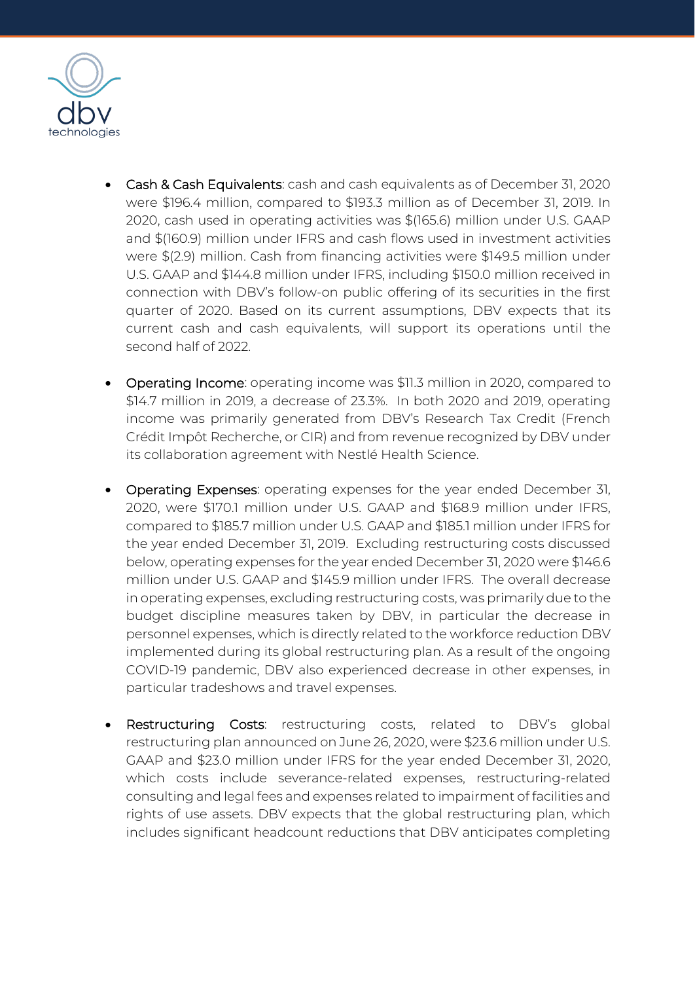

- Cash & Cash Equivalents: cash and cash equivalents as of December 31, 2020 were \$196.4 million, compared to \$193.3 million as of December 31, 2019. In 2020, cash used in operating activities was \$(165.6) million under U.S. GAAP and \$(160.9) million under IFRS and cash flows used in investment activities were \$(2.9) million. Cash from financing activities were \$149.5 million under U.S. GAAP and \$144.8 million under IFRS, including \$150.0 million received in connection with DBV's follow-on public offering of its securities in the first quarter of 2020. Based on its current assumptions, DBV expects that its current cash and cash equivalents, will support its operations until the second half of 2022.
- Operating Income: operating income was \$11.3 million in 2020, compared to \$14.7 million in 2019, a decrease of 23.3%. In both 2020 and 2019, operating income was primarily generated from DBV's Research Tax Credit (French Crédit Impôt Recherche, or CIR) and from revenue recognized by DBV under its collaboration agreement with Nestlé Health Science.
- Operating Expenses: operating expenses for the year ended December 31, 2020, were \$170.1 million under U.S. GAAP and \$168.9 million under IFRS, compared to \$185.7 million under U.S. GAAP and \$185.1 million under IFRS for the year ended December 31, 2019. Excluding restructuring costs discussed below, operating expenses for the year ended December 31, 2020 were \$146.6 million under U.S. GAAP and \$145.9 million under IFRS. The overall decrease in operating expenses, excluding restructuring costs, was primarily due to the budget discipline measures taken by DBV, in particular the decrease in personnel expenses, which is directly related to the workforce reduction DBV implemented during its global restructuring plan. As a result of the ongoing COVID-19 pandemic, DBV also experienced decrease in other expenses, in particular tradeshows and travel expenses.
- Restructuring Costs: restructuring costs, related to DBV's global restructuring plan announced on June 26, 2020, were \$23.6 million under U.S. GAAP and \$23.0 million under IFRS for the year ended December 31, 2020, which costs include severance-related expenses, restructuring-related consulting and legal fees and expenses related to impairment of facilities and rights of use assets. DBV expects that the global restructuring plan, which includes significant headcount reductions that DBV anticipates completing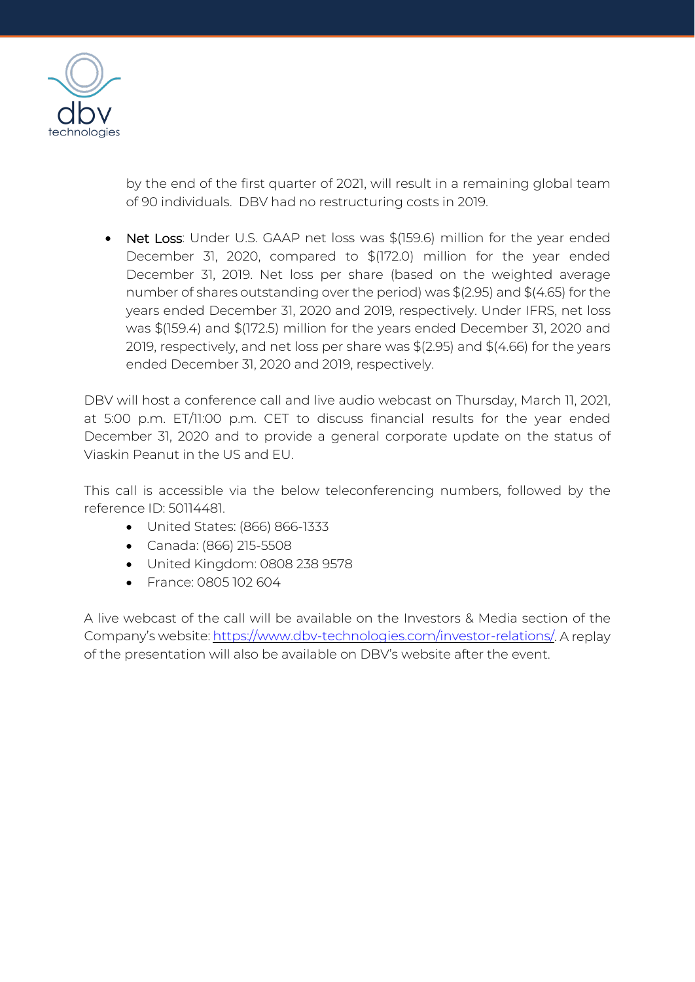

by the end of the first quarter of 2021, will result in a remaining global team of 90 individuals. DBV had no restructuring costs in 2019.

• Net Loss: Under U.S. GAAP net loss was \$(159.6) million for the year ended December 31, 2020, compared to \$(172.0) million for the year ended December 31, 2019. Net loss per share (based on the weighted average number of shares outstanding over the period) was \$(2.95) and \$(4.65) for the years ended December 31, 2020 and 2019, respectively. Under IFRS, net loss was \$(159.4) and \$(172.5) million for the years ended December 31, 2020 and 2019, respectively, and net loss per share was \$(2.95) and \$(4.66) for the years ended December 31, 2020 and 2019, respectively.

DBV will host a conference call and live audio webcast on Thursday, March 11, 2021, at 5:00 p.m. ET/11:00 p.m. CET to discuss financial results for the year ended December 31, 2020 and to provide a general corporate update on the status of Viaskin Peanut in the US and EU.

This call is accessible via the below teleconferencing numbers, followed by the reference ID: 50114481.

- United States: (866) 866-1333
- Canada: (866) 215-5508
- United Kingdom: 0808 238 9578
- France: 0805 102 604

A live webcast of the call will be available on the Investors & Media section of the Company's website: [https://www.dbv-technologies.com/investor-relations/.](https://www.dbv-technologies.com/investor-relations/) A replay of the presentation will also be available on DBV's website after the event.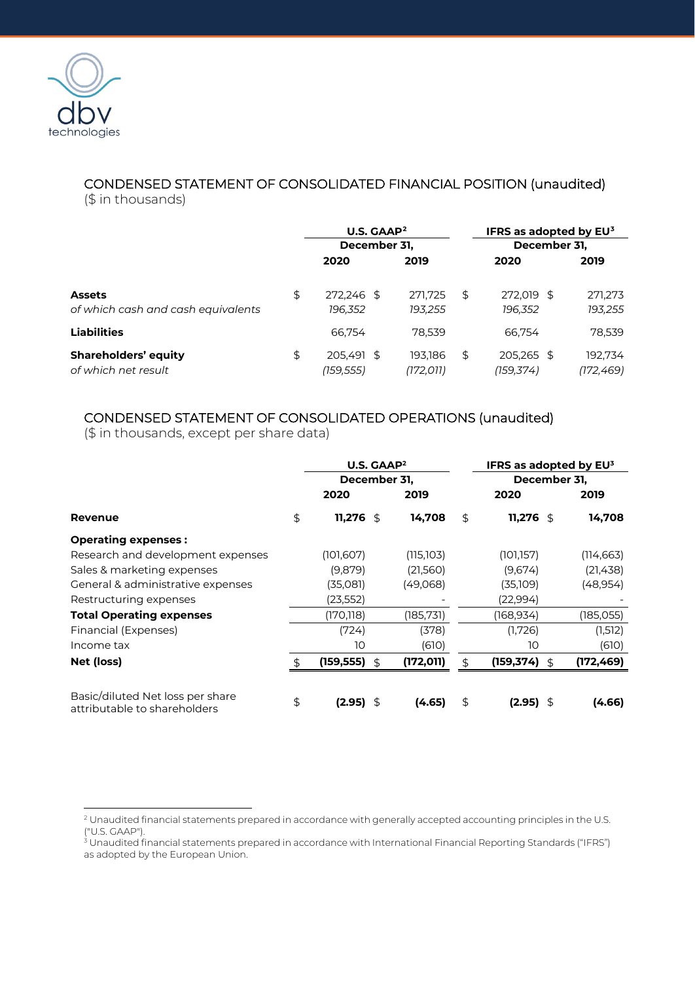

### CONDENSED STATEMENT OF CONSOLIDATED FINANCIAL POSITION (unaudited) (\$ in thousands)

|                                                     |    | U.S. GAAP <sup>2</sup><br>December 31, |                      |    | IFRS as adopted by $EU^3$<br>December 31, |  |                      |  |
|-----------------------------------------------------|----|----------------------------------------|----------------------|----|-------------------------------------------|--|----------------------|--|
|                                                     |    |                                        |                      |    |                                           |  |                      |  |
|                                                     |    | 2020                                   | 2019                 |    | 2020                                      |  | 2019                 |  |
| <b>Assets</b><br>of which cash and cash equivalents | \$ | 272.246 \$<br>196,352                  | 271.725<br>193,255   | \$ | 272.019 \$<br>196,352                     |  | 271,273<br>193,255   |  |
| <b>Liabilities</b>                                  |    | 66.754                                 | 78,539               |    | 66.754                                    |  | 78,539               |  |
| <b>Shareholders' equity</b><br>of which net result  | \$ | 205.491 \$<br>(159,555)                | 193.186<br>(172,011) | S  | 205,265 \$<br>(159,374)                   |  | 192,734<br>(172,469) |  |

### CONDENSED STATEMENT OF CONSOLIDATED OPERATIONS (unaudited)

(\$ in thousands, except per share data)

|                                                                  |    | U.S. GAAP <sup>2</sup> |    |            | IFRS as adopted by EU3 |                |            |
|------------------------------------------------------------------|----|------------------------|----|------------|------------------------|----------------|------------|
|                                                                  |    | December 31,           |    |            | December 31,           |                |            |
|                                                                  |    | 2020                   |    | 2019       | 2020                   |                | 2019       |
| Revenue                                                          | \$ | 11,276 $$$             |    | 14,708     | \$<br>11,276 $$$       |                | 14,708     |
| <b>Operating expenses:</b>                                       |    |                        |    |            |                        |                |            |
| Research and development expenses                                |    | (101,607)              |    | (115,103)  | (101,157)              |                | (114, 663) |
| Sales & marketing expenses                                       |    | (9,879)                |    | (21,560)   | (9,674)                |                | (21, 438)  |
| General & administrative expenses                                |    | (35,081)               |    | (49,068)   | (35,109)               |                | (48,954)   |
| Restructuring expenses                                           |    | (23,552)               |    |            | (22,994)               |                |            |
| <b>Total Operating expenses</b>                                  |    | (170, 118)             |    | (185, 731) | (168, 934)             |                | (185, 055) |
| Financial (Expenses)                                             |    | (724)                  |    | (378)      | (1,726)                |                | (1,512)    |
| Income tax                                                       |    | 10                     |    | (610)      | 10                     |                | (610)      |
| Net (loss)                                                       | £. | (159, 555)             | \$ | (172, 011) | (159, 374)             | $\mathfrak{F}$ | (172, 469) |
| Basic/diluted Net loss per share<br>attributable to shareholders | \$ | $(2.95)$ \$            |    | (4.65)     | \$<br>$(2.95)$ \$      |                | (4.66)     |

<span id="page-3-0"></span><sup>2</sup> Unaudited financial statements prepared in accordance with generally accepted accounting principles in the U.S. ("U.S. GAAP").

<span id="page-3-1"></span> $^3$  Unaudited financial statements prepared in accordance with International Financial Reporting Standards ("IFRS") as adopted by the European Union.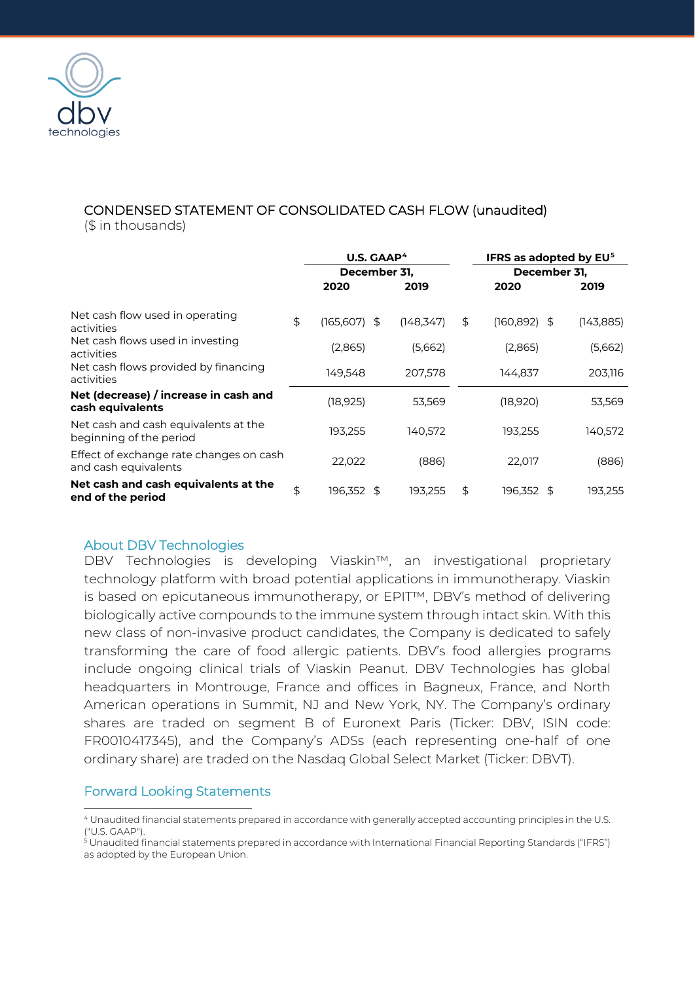

# CONDENSED STATEMENT OF CONSOLIDATED CASH FLOW (unaudited)

(\$ in thousands)

|                                                                 |    | U.S. GAAP <sup>4</sup><br>December 31, |            |    | IFRS as adopted by EU <sup>5</sup> |            |  |
|-----------------------------------------------------------------|----|----------------------------------------|------------|----|------------------------------------|------------|--|
|                                                                 |    |                                        |            |    | December 31,                       |            |  |
|                                                                 |    | 2020                                   | 2019       |    | 2020                               | 2019       |  |
| Net cash flow used in operating<br>activities                   | \$ | $(165,607)$ \$                         | (148, 347) | \$ | (160, 892)<br>\$                   | (143, 885) |  |
| Net cash flows used in investing<br>activities                  |    | (2,865)                                | (5,662)    |    | (2,865)                            | (5,662)    |  |
| Net cash flows provided by financing<br>activities              |    | 149.548                                | 207.578    |    | 144,837                            | 203,116    |  |
| Net (decrease) / increase in cash and<br>cash equivalents       |    | (18, 925)                              | 53,569     |    | (18,920)                           | 53,569     |  |
| Net cash and cash equivalents at the<br>beginning of the period |    | 193,255                                | 140,572    |    | 193,255                            | 140,572    |  |
| Effect of exchange rate changes on cash<br>and cash equivalents |    | 22,022                                 | (886)      |    | 22,017                             | (886)      |  |
| Net cash and cash equivalents at the<br>end of the period       | \$ | 196,352 \$                             | 193,255    | \$ | 196,352\$                          | 193,255    |  |

### About DBV Technologies

DBV Technologies is developing Viaskin™, an investigational proprietary technology platform with broad potential applications in immunotherapy. Viaskin is based on epicutaneous immunotherapy, or EPIT™, DBV's method of delivering biologically active compounds to the immune system through intact skin. With this new class of non-invasive product candidates, the Company is dedicated to safely transforming the care of food allergic patients. DBV's food allergies programs include ongoing clinical trials of Viaskin Peanut. DBV Technologies has global headquarters in Montrouge, France and offices in Bagneux, France, and North American operations in Summit, NJ and New York, NY. The Company's ordinary shares are traded on segment B of Euronext Paris (Ticker: DBV, ISIN code: FR0010417345), and the Company's ADSs (each representing one-half of one ordinary share) are traded on the Nasdaq Global Select Market (Ticker: DBVT).

## Forward Looking Statements

<span id="page-4-0"></span><sup>4</sup> Unaudited financial statements prepared in accordance with generally accepted accounting principles in the U.S. ("U.S. GAAP").

<span id="page-4-1"></span> $^{\rm 5}$ Unaudited financial statements prepared in accordance with International Financial Reporting Standards ("IFRS") as adopted by the European Union.